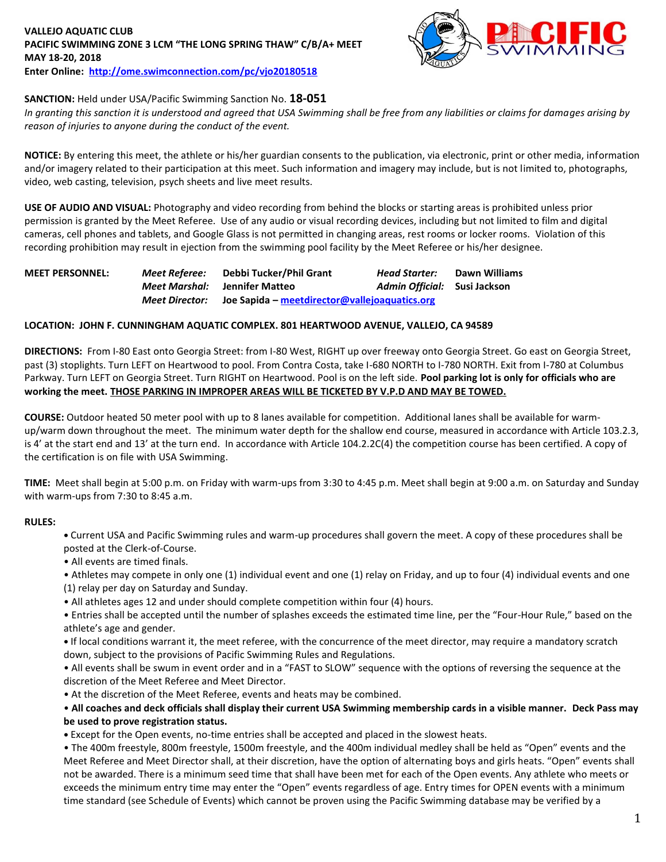### **VALLEJO AQUATIC CLUB PACIFIC SWIMMING ZONE 3 LCM "THE LONG SPRING THAW" C/B/A+ MEET MAY 18-20, 2018 Enter Online: <http://ome.swimconnection.com/pc/vjo20180518>**



## **SANCTION:** Held under USA/Pacific Swimming Sanction No. **18-051**

*In granting this sanction it is understood and agreed that USA Swimming shall be free from any liabilities or claims for damages arising by reason of injuries to anyone during the conduct of the event.*

**NOTICE:** By entering this meet, the athlete or his/her guardian consents to the publication, via electronic, print or other media, information and/or imagery related to their participation at this meet. Such information and imagery may include, but is not limited to, photographs, video, web casting, television, psych sheets and live meet results.

**USE OF AUDIO AND VISUAL:** Photography and video recording from behind the blocks or starting areas is prohibited unless prior permission is granted by the Meet Referee. Use of any audio or visual recording devices, including but not limited to film and digital cameras, cell phones and tablets, and Google Glass is not permitted in changing areas, rest rooms or locker rooms. Violation of this recording prohibition may result in ejection from the swimming pool facility by the Meet Referee or his/her designee.

| <b>MEET PERSONNEL:</b> | Meet Referee:  | Debbi Tucker/Phil Grant                       | <b>Head Starter:</b>         | Dawn Williams |
|------------------------|----------------|-----------------------------------------------|------------------------------|---------------|
|                        | Meet Marshal:  | Jennifer Matteo                               | Admin Official: Susi Jackson |               |
|                        | Meet Director: | Joe Sapida – meetdirector@vallejoaquatics.org |                              |               |

#### **LOCATION: JOHN F. CUNNINGHAM AQUATIC COMPLEX. 801 HEARTWOOD AVENUE, VALLEJO, CA 94589**

**DIRECTIONS:** From I-80 East onto Georgia Street: from I-80 West, RIGHT up over freeway onto Georgia Street. Go east on Georgia Street, past (3) stoplights. Turn LEFT on Heartwood to pool. From Contra Costa, take I-680 NORTH to I-780 NORTH. Exit from I-780 at Columbus Parkway. Turn LEFT on Georgia Street. Turn RIGHT on Heartwood. Pool is on the left side. **Pool parking lot is only for officials who are working the meet. THOSE PARKING IN IMPROPER AREAS WILL BE TICKETED BY V.P.D AND MAY BE TOWED.** 

**COURSE:** Outdoor heated 50 meter pool with up to 8 lanes available for competition. Additional lanes shall be available for warmup/warm down throughout the meet. The minimum water depth for the shallow end course, measured in accordance with Article 103.2.3, is 4' at the start end and 13' at the turn end. In accordance with Article 104.2.2C(4) the competition course has been certified. A copy of the certification is on file with USA Swimming.

**TIME:** Meet shall begin at 5:00 p.m. on Friday with warm-ups from 3:30 to 4:45 p.m. Meet shall begin at 9:00 a.m. on Saturday and Sunday with warm-ups from 7:30 to 8:45 a.m.

## **RULES:**

**•** Current USA and Pacific Swimming rules and warm-up procedures shall govern the meet. A copy of these procedures shall be posted at the Clerk-of-Course.

• All events are timed finals.

• Athletes may compete in only one (1) individual event and one (1) relay on Friday, and up to four (4) individual events and one (1) relay per day on Saturday and Sunday.

• All athletes ages 12 and under should complete competition within four (4) hours.

• Entries shall be accepted until the number of splashes exceeds the estimated time line, per the "Four-Hour Rule," based on the athlete's age and gender.

**•** If local conditions warrant it, the meet referee, with the concurrence of the meet director, may require a mandatory scratch down, subject to the provisions of Pacific Swimming Rules and Regulations.

• All events shall be swum in event order and in a "FAST to SLOW" sequence with the options of reversing the sequence at the discretion of the Meet Referee and Meet Director.

• At the discretion of the Meet Referee, events and heats may be combined.

• **All coaches and deck officials shall display their current USA Swimming membership cards in a visible manner. Deck Pass may be used to prove registration status.**

**•** Except for the Open events, no-time entries shall be accepted and placed in the slowest heats.

• The 400m freestyle, 800m freestyle, 1500m freestyle, and the 400m individual medley shall be held as "Open" events and the Meet Referee and Meet Director shall, at their discretion, have the option of alternating boys and girls heats. "Open" events shall not be awarded. There is a minimum seed time that shall have been met for each of the Open events. Any athlete who meets or exceeds the minimum entry time may enter the "Open" events regardless of age. Entry times for OPEN events with a minimum time standard (see Schedule of Events) which cannot be proven using the Pacific Swimming database may be verified by a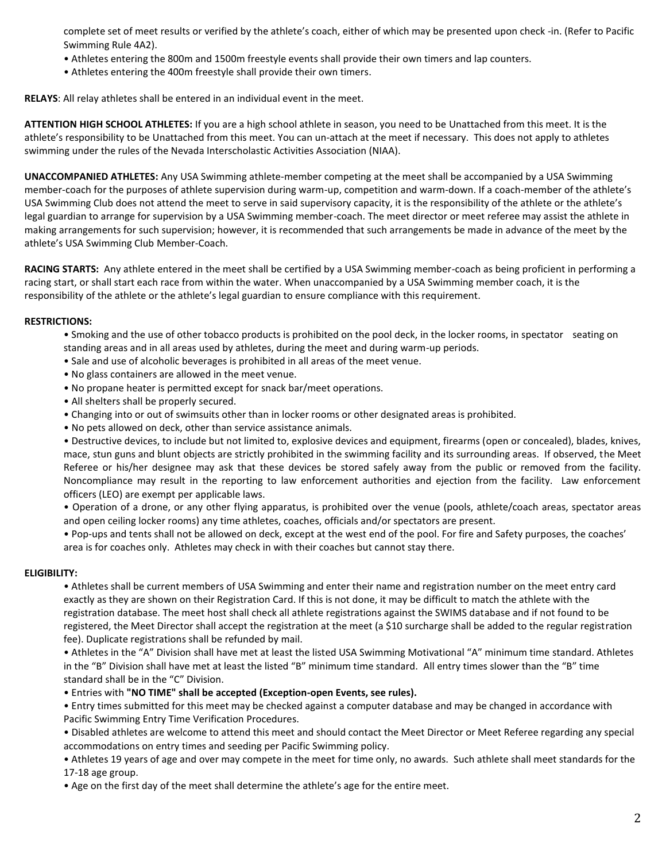complete set of meet results or verified by the athlete's coach, either of which may be presented upon check -in. (Refer to Pacific Swimming Rule 4A2).

- Athletes entering the 800m and 1500m freestyle events shall provide their own timers and lap counters.
- Athletes entering the 400m freestyle shall provide their own timers.

**RELAYS**: All relay athletes shall be entered in an individual event in the meet.

**ATTENTION HIGH SCHOOL ATHLETES:** If you are a high school athlete in season, you need to be Unattached from this meet. It is the athlete's responsibility to be Unattached from this meet. You can un-attach at the meet if necessary. This does not apply to athletes swimming under the rules of the Nevada Interscholastic Activities Association (NIAA).

**UNACCOMPANIED ATHLETES:** Any USA Swimming athlete-member competing at the meet shall be accompanied by a USA Swimming member-coach for the purposes of athlete supervision during warm-up, competition and warm-down. If a coach-member of the athlete's USA Swimming Club does not attend the meet to serve in said supervisory capacity, it is the responsibility of the athlete or the athlete's legal guardian to arrange for supervision by a USA Swimming member-coach. The meet director or meet referee may assist the athlete in making arrangements for such supervision; however, it is recommended that such arrangements be made in advance of the meet by the athlete's USA Swimming Club Member-Coach.

**RACING STARTS:** Any athlete entered in the meet shall be certified by a USA Swimming member-coach as being proficient in performing a racing start, or shall start each race from within the water. When unaccompanied by a USA Swimming member coach, it is the responsibility of the athlete or the athlete's legal guardian to ensure compliance with this requirement.

#### **RESTRICTIONS:**

- Smoking and the use of other tobacco products is prohibited on the pool deck, in the locker rooms, in spectator seating on standing areas and in all areas used by athletes, during the meet and during warm-up periods.
- Sale and use of alcoholic beverages is prohibited in all areas of the meet venue.
- No glass containers are allowed in the meet venue.
- No propane heater is permitted except for snack bar/meet operations.
- All shelters shall be properly secured.
- Changing into or out of swimsuits other than in locker rooms or other designated areas is prohibited.
- No pets allowed on deck, other than service assistance animals.

• Destructive devices, to include but not limited to, explosive devices and equipment, firearms (open or concealed), blades, knives, mace, stun guns and blunt objects are strictly prohibited in the swimming facility and its surrounding areas. If observed, the Meet Referee or his/her designee may ask that these devices be stored safely away from the public or removed from the facility. Noncompliance may result in the reporting to law enforcement authorities and ejection from the facility. Law enforcement officers (LEO) are exempt per applicable laws.

• Operation of a drone, or any other flying apparatus, is prohibited over the venue (pools, athlete/coach areas, spectator areas and open ceiling locker rooms) any time athletes, coaches, officials and/or spectators are present.

• Pop-ups and tents shall not be allowed on deck, except at the west end of the pool. For fire and Safety purposes, the coaches' area is for coaches only. Athletes may check in with their coaches but cannot stay there.

#### **ELIGIBILITY:**

• Athletes shall be current members of USA Swimming and enter their name and registration number on the meet entry card exactly as they are shown on their Registration Card. If this is not done, it may be difficult to match the athlete with the registration database. The meet host shall check all athlete registrations against the SWIMS database and if not found to be registered, the Meet Director shall accept the registration at the meet (a \$10 surcharge shall be added to the regular registration fee). Duplicate registrations shall be refunded by mail.

• Athletes in the "A" Division shall have met at least the listed USA Swimming Motivational "A" minimum time standard. Athletes in the "B" Division shall have met at least the listed "B" minimum time standard. All entry times slower than the "B" time standard shall be in the "C" Division.

• Entries with **"NO TIME" shall be accepted (Exception-open Events, see rules).** 

• Entry times submitted for this meet may be checked against a computer database and may be changed in accordance with Pacific Swimming Entry Time Verification Procedures.

• Disabled athletes are welcome to attend this meet and should contact the Meet Director or Meet Referee regarding any special accommodations on entry times and seeding per Pacific Swimming policy.

• Athletes 19 years of age and over may compete in the meet for time only, no awards. Such athlete shall meet standards for the 17-18 age group.

• Age on the first day of the meet shall determine the athlete's age for the entire meet.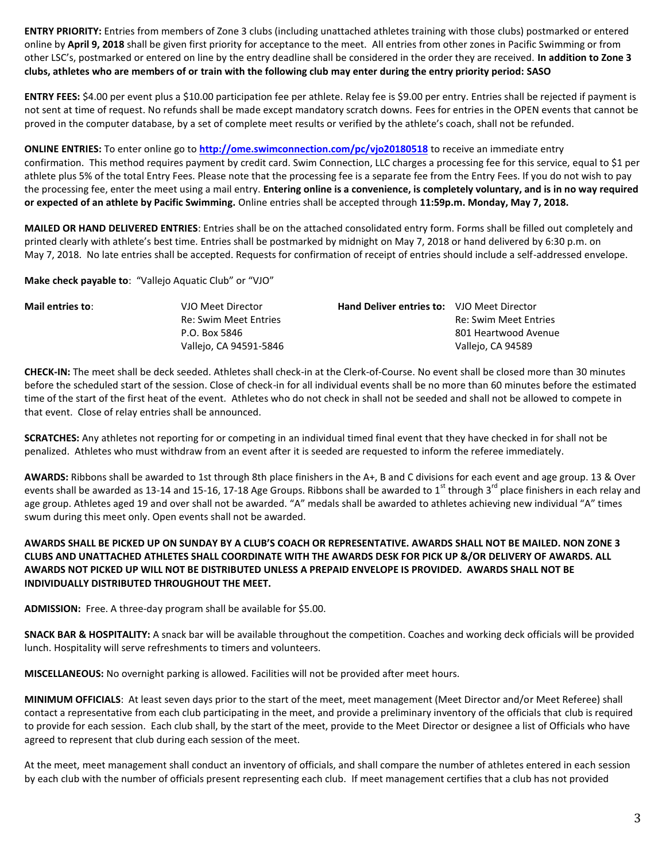**ENTRY PRIORITY:** Entries from members of Zone 3 clubs (including unattached athletes training with those clubs) postmarked or entered online by **April 9, 2018** shall be given first priority for acceptance to the meet. All entries from other zones in Pacific Swimming or from other LSC's, postmarked or entered on line by the entry deadline shall be considered in the order they are received. **In addition to Zone 3 clubs, athletes who are members of or train with the following club may enter during the entry priority period: SASO**

**ENTRY FEES:** \$4.00 per event plus a \$10.00 participation fee per athlete. Relay fee is \$9.00 per entry. Entries shall be rejected if payment is not sent at time of request. No refunds shall be made except mandatory scratch downs. Fees for entries in the OPEN events that cannot be proved in the computer database, by a set of complete meet results or verified by the athlete's coach, shall not be refunded.

**ONLINE ENTRIES:** To enter online go to **<http://ome.swimconnection.com/pc/vjo20180518>** to receive an immediate entry confirmation. This method requires payment by credit card. Swim Connection, LLC charges a processing fee for this service, equal to \$1 per athlete plus 5% of the total Entry Fees. Please note that the processing fee is a separate fee from the Entry Fees. If you do not wish to pay the processing fee, enter the meet using a mail entry. **Entering online is a convenience, is completely voluntary, and is in no way required or expected of an athlete by Pacific Swimming.** Online entries shall be accepted through **11:59p.m. Monday, May 7, 2018.**

**MAILED OR HAND DELIVERED ENTRIES**: Entries shall be on the attached consolidated entry form. Forms shall be filled out completely and printed clearly with athlete's best time. Entries shall be postmarked by midnight on May 7, 2018 or hand delivered by 6:30 p.m. on May 7, 2018. No late entries shall be accepted. Requests for confirmation of receipt of entries should include a self-addressed envelope.

**Make check payable to**: "Vallejo Aquatic Club" or "VJO"

| Mail entries to: | VJO Meet Director      | <b>Hand Deliver entries to: VJO Meet Director</b> |                       |
|------------------|------------------------|---------------------------------------------------|-----------------------|
|                  | Re: Swim Meet Entries  |                                                   | Re: Swim Meet Entries |
|                  | P.O. Box 5846          |                                                   | 801 Heartwood Avenue  |
|                  | Vallejo, CA 94591-5846 |                                                   | Vallejo, CA 94589     |

**CHECK-IN:** The meet shall be deck seeded. Athletes shall check-in at the Clerk-of-Course. No event shall be closed more than 30 minutes before the scheduled start of the session. Close of check-in for all individual events shall be no more than 60 minutes before the estimated time of the start of the first heat of the event. Athletes who do not check in shall not be seeded and shall not be allowed to compete in that event. Close of relay entries shall be announced.

**SCRATCHES:** Any athletes not reporting for or competing in an individual timed final event that they have checked in for shall not be penalized. Athletes who must withdraw from an event after it is seeded are requested to inform the referee immediately.

**AWARDS:** Ribbons shall be awarded to 1st through 8th place finishers in the A+, B and C divisions for each event and age group. 13 & Over events shall be awarded as 13-14 and 15-16, 17-18 Age Groups. Ribbons shall be awarded to 1<sup>st</sup> through 3<sup>rd</sup> place finishers in each relay and age group. Athletes aged 19 and over shall not be awarded. "A" medals shall be awarded to athletes achieving new individual "A" times swum during this meet only. Open events shall not be awarded.

# **AWARDS SHALL BE PICKED UP ON SUNDAY BY A CLUB'S COACH OR REPRESENTATIVE. AWARDS SHALL NOT BE MAILED. NON ZONE 3 CLUBS AND UNATTACHED ATHLETES SHALL COORDINATE WITH THE AWARDS DESK FOR PICK UP &/OR DELIVERY OF AWARDS. ALL AWARDS NOT PICKED UP WILL NOT BE DISTRIBUTED UNLESS A PREPAID ENVELOPE IS PROVIDED. AWARDS SHALL NOT BE INDIVIDUALLY DISTRIBUTED THROUGHOUT THE MEET.**

**ADMISSION:** Free. A three-day program shall be available for \$5.00.

**SNACK BAR & HOSPITALITY:** A snack bar will be available throughout the competition. Coaches and working deck officials will be provided lunch. Hospitality will serve refreshments to timers and volunteers.

**MISCELLANEOUS:** No overnight parking is allowed. Facilities will not be provided after meet hours.

**MINIMUM OFFICIALS**: At least seven days prior to the start of the meet, meet management (Meet Director and/or Meet Referee) shall contact a representative from each club participating in the meet, and provide a preliminary inventory of the officials that club is required to provide for each session. Each club shall, by the start of the meet, provide to the Meet Director or designee a list of Officials who have agreed to represent that club during each session of the meet.

At the meet, meet management shall conduct an inventory of officials, and shall compare the number of athletes entered in each session by each club with the number of officials present representing each club. If meet management certifies that a club has not provided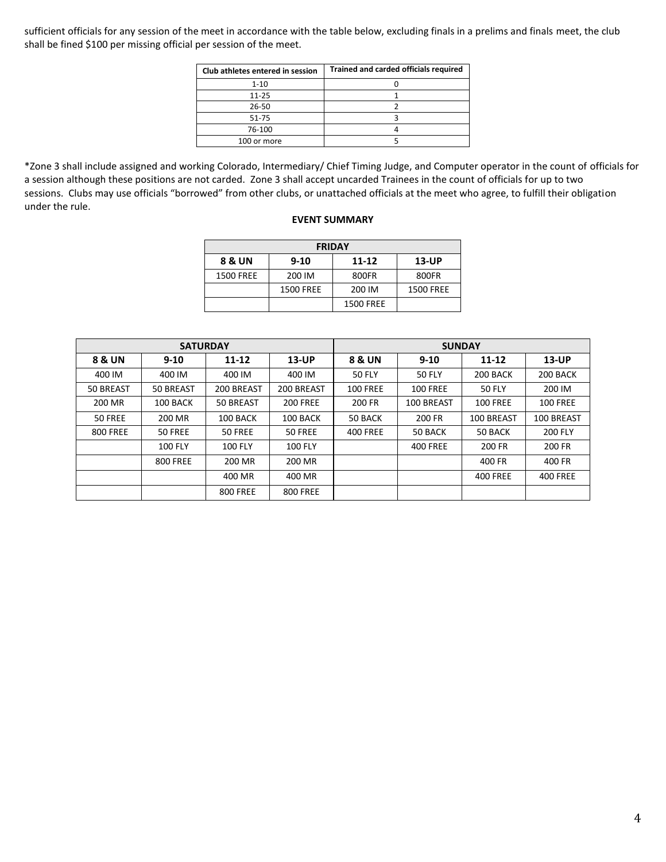sufficient officials for any session of the meet in accordance with the table below, excluding finals in a prelims and finals meet, the club shall be fined \$100 per missing official per session of the meet.

| Club athletes entered in session | Trained and carded officials required |
|----------------------------------|---------------------------------------|
| $1 - 10$                         |                                       |
| $11 - 25$                        |                                       |
| 26-50                            |                                       |
| $51 - 75$                        |                                       |
| 76-100                           |                                       |
| 100 or more                      |                                       |

\*Zone 3 shall include assigned and working Colorado, Intermediary/ Chief Timing Judge, and Computer operator in the count of officials for a session although these positions are not carded. Zone 3 shall accept uncarded Trainees in the count of officials for up to two sessions. Clubs may use officials "borrowed" from other clubs, or unattached officials at the meet who agree, to fulfill their obligation under the rule.

#### **EVENT SUMMARY**

| <b>FRIDAY</b>    |           |                  |                  |  |  |  |  |  |  |
|------------------|-----------|------------------|------------------|--|--|--|--|--|--|
| 8 & UN           | $9 - 10$  | $11 - 12$        | $13$ -UP         |  |  |  |  |  |  |
| <b>1500 FREE</b> | 200 IM    | 800FR            | 800FR            |  |  |  |  |  |  |
|                  | 1500 FREE | 200 IM           | <b>1500 FREE</b> |  |  |  |  |  |  |
|                  |           | <b>1500 FREE</b> |                  |  |  |  |  |  |  |

|                 | <b>SATURDAY</b> |                 |                 | <b>SUNDAY</b>      |                 |                 |                 |  |  |
|-----------------|-----------------|-----------------|-----------------|--------------------|-----------------|-----------------|-----------------|--|--|
| 8 & UN          | $9 - 10$        | 11-12           | 13-UP           | 8 & UN<br>$9 - 10$ |                 | 11-12           | $13$ -UP        |  |  |
| 400 IM          | 400 IM          | 400 IM          | 400 IM          | <b>50 FLY</b>      | <b>50 FLY</b>   | 200 BACK        | 200 BACK        |  |  |
| 50 BREAST       | 50 BREAST       | 200 BREAST      | 200 BREAST      | <b>100 FREE</b>    | <b>100 FREE</b> | 50 FLY          | 200 IM          |  |  |
| 200 MR          | 100 BACK        | 50 BREAST       | <b>200 FREE</b> | 200 FR             | 100 BREAST      | <b>100 FREE</b> | <b>100 FREE</b> |  |  |
| 50 FREE         | 200 MR          | 100 BACK        | 100 BACK        | 50 BACK            | <b>200 FR</b>   | 100 BREAST      | 100 BREAST      |  |  |
| <b>800 FREE</b> | 50 FREE         | 50 FREE         | 50 FREE         | <b>400 FREE</b>    | 50 BACK         | 50 BACK         | <b>200 FLY</b>  |  |  |
|                 | <b>100 FLY</b>  | <b>100 FLY</b>  | <b>100 FLY</b>  |                    | <b>400 FREE</b> | 200 FR          | 200 FR          |  |  |
|                 | <b>800 FREE</b> | 200 MR          | 200 MR          |                    |                 | 400 FR          | 400 FR          |  |  |
|                 |                 | 400 MR          | 400 MR          |                    |                 | <b>400 FREE</b> | <b>400 FREE</b> |  |  |
|                 |                 | <b>800 FREE</b> | <b>800 FREE</b> |                    |                 |                 |                 |  |  |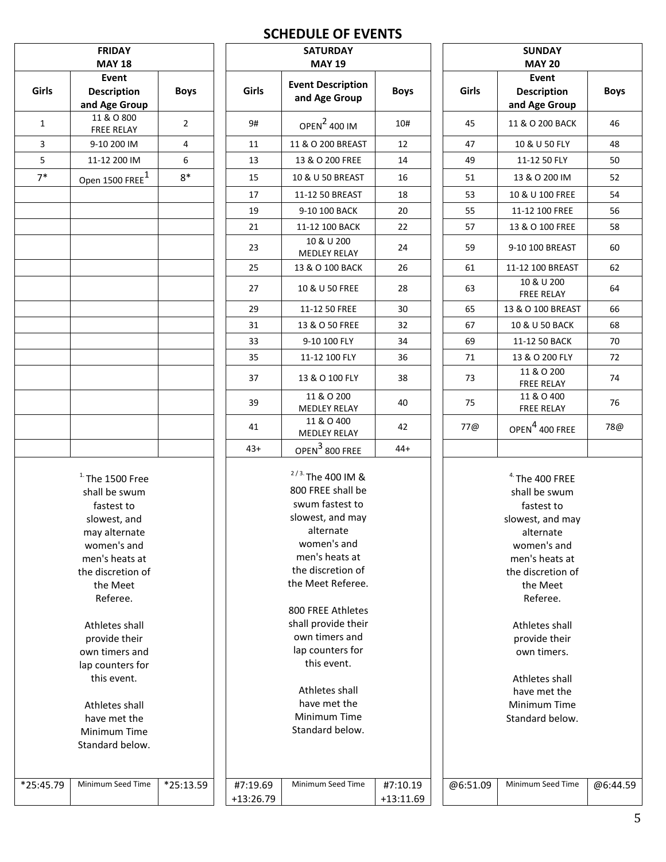# **SCHEDULE OF EVENTS**

| <b>FRIDAY</b><br><b>MAY 18</b> |                                                                                                                                                                                                     |                | <b>SATURDAY</b><br><b>MAY 19</b> | <b>SUNDAY</b><br><b>MAY 20</b>                                                                                                                                                                                                         |                         |          |                                                                                                                                                                                                    |            |
|--------------------------------|-----------------------------------------------------------------------------------------------------------------------------------------------------------------------------------------------------|----------------|----------------------------------|----------------------------------------------------------------------------------------------------------------------------------------------------------------------------------------------------------------------------------------|-------------------------|----------|----------------------------------------------------------------------------------------------------------------------------------------------------------------------------------------------------|------------|
| Girls                          | Event<br>Description<br>and Age Group                                                                                                                                                               | <b>Boys</b>    | Girls                            | <b>Event Description</b><br>and Age Group                                                                                                                                                                                              | <b>Boys</b>             | Girls    | Event<br><b>Description</b><br>and Age Group                                                                                                                                                       | <b>Boy</b> |
| $\mathbf{1}$                   | 11 & O 800<br><b>FREE RELAY</b>                                                                                                                                                                     | $\overline{2}$ | 9#                               | OPEN <sup>2</sup> 400 IM                                                                                                                                                                                                               | 10#                     | 45       | 11 & O 200 BACK                                                                                                                                                                                    | 46         |
| 3                              | 9-10 200 IM                                                                                                                                                                                         | 4              | 11                               | 11 & O 200 BREAST                                                                                                                                                                                                                      | 12                      | 47       | 10 & U 50 FLY                                                                                                                                                                                      | 48         |
| $5\phantom{.}$                 | 11-12 200 IM                                                                                                                                                                                        | 6              | 13                               | 13 & O 200 FREE                                                                                                                                                                                                                        | 14                      | 49       | 11-12 50 FLY                                                                                                                                                                                       | 50         |
| $7*$                           | Open 1500 FREE <sup>1</sup>                                                                                                                                                                         | $8*$           | 15                               | 10 & U 50 BREAST                                                                                                                                                                                                                       | 16                      | 51       | 13 & O 200 IM                                                                                                                                                                                      | 52         |
|                                |                                                                                                                                                                                                     |                | 17                               | 11-12 50 BREAST                                                                                                                                                                                                                        | 18                      | 53       | 10 & U 100 FREE                                                                                                                                                                                    | 54         |
|                                |                                                                                                                                                                                                     |                | 19                               | 9-10 100 BACK                                                                                                                                                                                                                          | 20                      | 55       | 11-12 100 FREE                                                                                                                                                                                     | 56         |
|                                |                                                                                                                                                                                                     |                | 21                               | 11-12 100 BACK                                                                                                                                                                                                                         | 22                      | 57       | 13 & O 100 FREE                                                                                                                                                                                    | 58         |
|                                |                                                                                                                                                                                                     |                | 23                               | 10 & U 200<br><b>MEDLEY RELAY</b>                                                                                                                                                                                                      | 24                      | 59       | 9-10 100 BREAST                                                                                                                                                                                    | 60         |
|                                |                                                                                                                                                                                                     |                | 25                               | 13 & O 100 BACK                                                                                                                                                                                                                        | 26                      | 61       | 11-12 100 BREAST                                                                                                                                                                                   | 62         |
|                                |                                                                                                                                                                                                     |                | 27                               | 10 & U 50 FREE                                                                                                                                                                                                                         | 28                      | 63       | 10 & U 200<br><b>FREE RELAY</b>                                                                                                                                                                    | 64         |
|                                |                                                                                                                                                                                                     |                | 29                               | 11-12 50 FREE                                                                                                                                                                                                                          | 30                      | 65       | 13 & O 100 BREAST                                                                                                                                                                                  | 66         |
|                                |                                                                                                                                                                                                     |                | 31                               | 13 & O 50 FREE                                                                                                                                                                                                                         | 32                      | 67       | 10 & U 50 BACK                                                                                                                                                                                     | 68         |
|                                |                                                                                                                                                                                                     |                | 33                               | 9-10 100 FLY                                                                                                                                                                                                                           | 34                      | 69       | 11-12 50 BACK                                                                                                                                                                                      | 70         |
|                                |                                                                                                                                                                                                     |                | 35                               | 11-12 100 FLY                                                                                                                                                                                                                          | 36                      | 71       | 13 & O 200 FLY                                                                                                                                                                                     | 72         |
|                                |                                                                                                                                                                                                     |                | 37                               | 13 & O 100 FLY                                                                                                                                                                                                                         | 38                      | 73       | 11 & O 200<br>FREE RELAY                                                                                                                                                                           | 74         |
|                                |                                                                                                                                                                                                     |                | 39                               | 11 & O 200<br><b>MEDLEY RELAY</b>                                                                                                                                                                                                      | 40                      | 75       | 11 & O 400<br><b>FREE RELAY</b>                                                                                                                                                                    | 76         |
|                                |                                                                                                                                                                                                     |                | 41                               | 11 & O 400<br>MEDLEY RELAY                                                                                                                                                                                                             | 42                      | 77@      | OPEN <sup>4</sup> 400 FREE                                                                                                                                                                         | 78         |
|                                | $1.$ The 1500 Free<br>shall be swum<br>fastest to<br>slowest, and<br>may alternate<br>women's and<br>men's heats at<br>the discretion of<br>the Meet<br>Referee.<br>Athletes shall<br>provide their |                |                                  | $2/3$ . The 400 IM &<br>800 FREE shall be<br>swum fastest to<br>slowest, and may<br>alternate<br>women's and<br>men's heats at<br>the discretion of<br>the Meet Referee.<br>800 FREE Athletes<br>shall provide their<br>own timers and |                         |          | $4.$ The 400 FREE<br>shall be swum<br>fastest to<br>slowest, and may<br>alternate<br>women's and<br>men's heats at<br>the discretion of<br>the Meet<br>Referee.<br>Athletes shall<br>provide their |            |
|                                | own timers and<br>lap counters for<br>this event.<br>Athletes shall<br>have met the<br>Minimum Time<br>Standard below.                                                                              |                |                                  | lap counters for<br>this event.<br>Athletes shall<br>have met the<br>Minimum Time<br>Standard below.                                                                                                                                   |                         |          | own timers.<br>Athletes shall<br>have met the<br>Minimum Time<br>Standard below.                                                                                                                   |            |
| *25:45.79                      | Minimum Seed Time                                                                                                                                                                                   | *25:13.59      | #7:19.69<br>+13:26.79            | Minimum Seed Time                                                                                                                                                                                                                      | #7:10.19<br>$+13:11.69$ | @6:51.09 | Minimum Seed Time                                                                                                                                                                                  | @6:44      |

|       | <b>SATURDAY</b><br><b>MAY 19</b>          |             |       | <b>SUNDAY</b><br><b>MAY 20</b>               |             |  |
|-------|-------------------------------------------|-------------|-------|----------------------------------------------|-------------|--|
| irls  | <b>Event Description</b><br>and Age Group | <b>Boys</b> | Girls | Event<br><b>Description</b><br>and Age Group | <b>Boys</b> |  |
| 9#    | OPEN <sup>2</sup> 400 IM                  | 10#         | 45    | 11 & O 200 BACK                              | 46          |  |
| 11    | 11 & O 200 BREAST                         | 12          | 47    | 10 & U 50 FLY                                | 48          |  |
| 13    | 13 & O 200 FREE                           | 14          | 49    | 11-12 50 FLY                                 | 50          |  |
| 15    | 10 & U 50 BREAST                          | 16          | 51    | 13 & O 200 IM                                | 52          |  |
| 17    | 11-12 50 BREAST                           | 18          | 53    | 10 & U 100 FREE                              | 54          |  |
| 19    | 9-10 100 BACK                             | 20          | 55    | 11-12 100 FREE                               | 56          |  |
| 21    | 11-12 100 BACK                            | 22          | 57    | 13 & O 100 FREE                              | 58          |  |
| 23    | 10 & U 200<br><b>MEDLEY RELAY</b>         | 24          | 59    | 9-10 100 BREAST                              | 60          |  |
| 25    | 13 & O 100 BACK                           | 26          | 61    | 11-12 100 BREAST                             | 62          |  |
| 27    | 10 & U 50 FREE                            | 28          | 63    | 10 & U 200<br><b>FREE RELAY</b>              | 64          |  |
| 29    | 11-12 50 FREE                             | 30          | 65    | 13 & O 100 BREAST                            | 66          |  |
| 31    | 13 & O 50 FREE                            | 32          | 67    | 10 & U 50 BACK                               | 68          |  |
| 33    | 9-10 100 FLY                              | 34          | 69    | 11-12 50 BACK                                | 70          |  |
| 35    | 11-12 100 FLY                             | 36          | 71    | 13 & O 200 FLY                               | 72          |  |
| 37    | 13 & O 100 FLY                            | 38          | 73    | 11 & O 200<br><b>FREE RELAY</b>              | 74          |  |
| 39    | 11 & O 200<br><b>MEDLEY RELAY</b>         | 40          | 75    | 11 & O 400<br><b>FREE RELAY</b>              | 76          |  |
| 41    | 11 & O 400<br><b>MEDLEY RELAY</b>         | 42          | 77@   | OPEN <sup>4</sup> 400 FREE                   | 78@         |  |
| $13+$ | OPEN $3$ 800 FREE                         | $44+$       |       |                                              |             |  |

@6:51.09 Minimum Seed Time @6:44.59